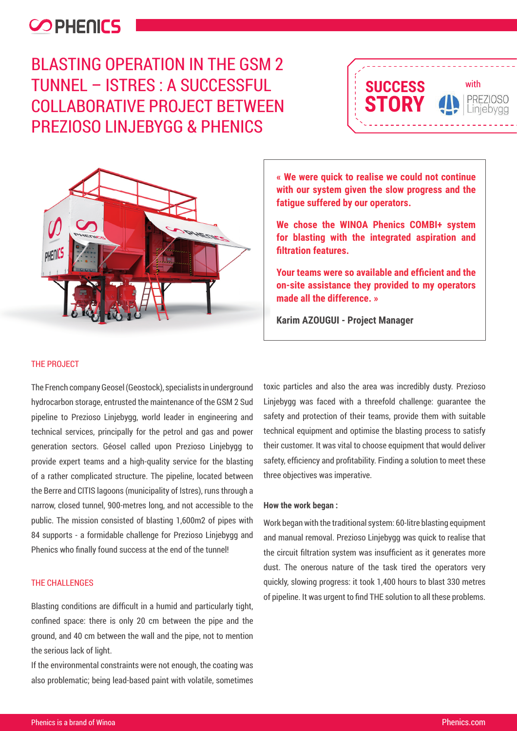## **COPHENICS**

BLASTING OPERATION IN THE GSM 2 TUNNEL – ISTRES : A SUCCESSFUL COLLABORATIVE PROJECT BETWEEN PREZIOSO LINJEBYGG & PHENICS





**« We were quick to realise we could not continue with our system given the slow progress and the fatigue suffered by our operators.**

**We chose the WINOA Phenics COMBI+ system for blasting with the integrated aspiration and filtration features.** 

**Your teams were so available and efficient and the on-site assistance they provided to my operators made all the difference. »**

**Karim AZOUGUI - Project Manager**

#### THE PROJECT

The French company Geosel (Geostock), specialists in underground hydrocarbon storage, entrusted the maintenance of the GSM 2 Sud pipeline to Prezioso Linjebygg, world leader in engineering and technical services, principally for the petrol and gas and power generation sectors. Géosel called upon Prezioso Linjebygg to provide expert teams and a high-quality service for the blasting of a rather complicated structure. The pipeline, located between the Berre and CITIS lagoons (municipality of Istres), runs through a narrow, closed tunnel, 900-metres long, and not accessible to the public. The mission consisted of blasting 1,600m2 of pipes with 84 supports - a formidable challenge for Prezioso Linjebygg and Phenics who finally found success at the end of the tunnel!

### THE CHALL ENGES

Blasting conditions are difficult in a humid and particularly tight. confined space: there is only 20 cm between the pipe and the ground, and 40 cm between the wall and the pipe, not to mention the serious lack of light.

If the environmental constraints were not enough, the coating was also problematic; being lead-based paint with volatile, sometimes toxic particles and also the area was incredibly dusty. Prezioso Linjebygg was faced with a threefold challenge: guarantee the safety and protection of their teams, provide them with suitable technical equipment and optimise the blasting process to satisfy their customer. It was vital to choose equipment that would deliver safety, efficiency and profitability. Finding a solution to meet these three objectives was imperative.

#### **How the work began :**

Work began with the traditional system: 60-litre blasting equipment and manual removal. Prezioso Linjebygg was quick to realise that the circuit filtration system was insufficient as it generates more dust. The onerous nature of the task tired the operators very quickly, slowing progress: it took 1,400 hours to blast 330 metres of pipeline. It was urgent to find THE solution to all these problems.